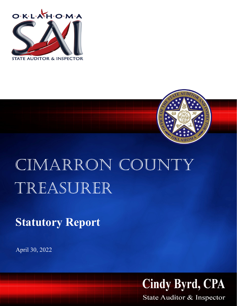



## CIMARRON COUNTY Treasurer

**Statutory Report**

April 30, 2022



State Auditor & Inspector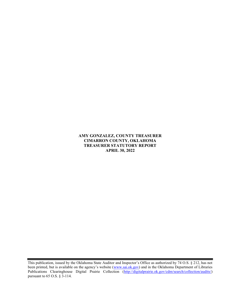## AMY GONZALEZ, COUNTY TREASURER CIMARRON COUNTY, OKLAHOMA TREASURER STATUTORY REPORT APRIL 30, 2022

This publication, issued by the Oklahoma State Auditor and Inspector's Office as authorized by 74 O.S. § 212, has not been printed, but is available on the agency's website (www.sai.ok.gov) and in the Oklahoma Department of Libraries Publications Clearinghouse Digital Prairie Collection (http://digitalprairie.ok.gov/cdm/search/collection/audits/) pursuant to 65 O.S. § 3-114.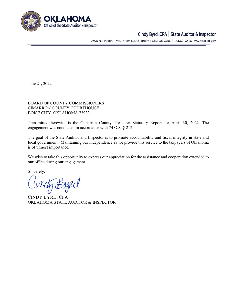

## Cindy Byrd, CPA | State Auditor & Inspector

2300 N. Lincoln Blvd., Room 123, Oklahoma City, OK 73105 | 405.521.3495 | www.sai.ok.gov

June 21, 2022

BOARD OF COUNTY COMMISSIONERS CIMARRON COUNTY COURTHOUSE BOISE CITY, OKLAHOMA 73933

Transmitted herewith is the Cimarron County Treasurer Statutory Report for April 30, 2022. The engagement was conducted in accordance with 74 O.S. § 212.

The goal of the State Auditor and Inspector is to promote accountability and fiscal integrity in state and local government. Maintaining our independence as we provide this service to the taxpayers of Oklahoma is of utmost importance.

We wish to take this opportunity to express our appreciation for the assistance and cooperation extended to our office during our engagement.

Sincerely,

CINDY BYRD, CPA OKLAHOMA STATE AUDITOR & INSPECTOR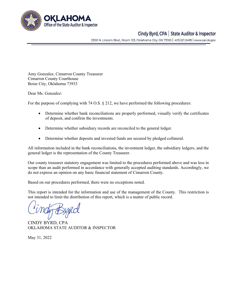

## Cindy Byrd, CPA | State Auditor & Inspector

2300 N. Lincoln Blvd., Room 123, Oklahoma City, OK 73105 | 405.521.3495 | www.sai.ok.gov

Amy Gonzalez, Cimarron County Treasurer Cimarron County Courthouse Boise City, Oklahoma 73933

Dear Ms. Gonzalez:

For the purpose of complying with 74 O.S. § 212, we have performed the following procedures:

- Determine whether bank reconciliations are properly performed, visually verify the certificates of deposit, and confirm the investments.
- Determine whether subsidiary records are reconciled to the general ledger.
- Determine whether deposits and invested funds are secured by pledged collateral.

All information included in the bank reconciliations, the investment ledger, the subsidiary ledgers, and the general ledger is the representation of the County Treasurer.

Our county treasurer statutory engagement was limited to the procedures performed above and was less in scope than an audit performed in accordance with generally accepted auditing standards. Accordingly, we do not express an opinion on any basic financial statement of Cimarron County.

Based on our procedures performed, there were no exceptions noted.

This report is intended for the information and use of the management of the County. This restriction is not intended to limit the distribution of this report, which is a matter of public record.

CINDY BYRD, CPA OKLAHOMA STATE AUDITOR & INSPECTOR

May 31, 2022